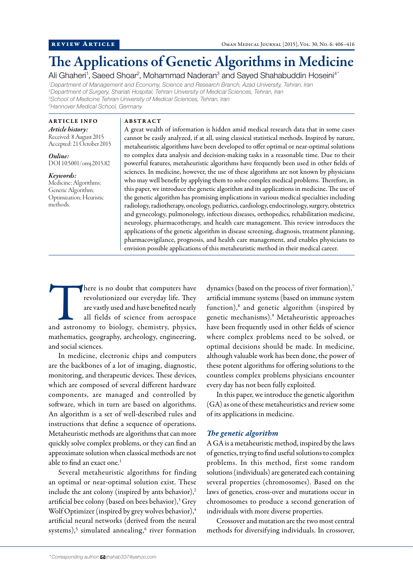# The Applications of Genetic Algorithms in Medicine

Ali Ghaheri<sup>1</sup>, Saeed Shoar<sup>2</sup>, Mohammad Naderan<sup>3</sup> and Sayed Shahabuddin Hoseini<sup>4\*</sup>

 *Department of Management and Economy, Science and Research Branch, Azad University, Tehran, Iran Department of Surgery, Shariati Hospital, Tehran University of Medical Sciences, Tehran, Iran School of Medicine Tehran University of Medical Sciences, Tehran, Iran Hannover Medical School, Germany*

ARTICLE INFO

*Article history:*  Received: 8 August 2015 Accepted: 21 October 2015

*Online:* DOI 10.5001/omj.2015.82

*Keywords:*  Medicine; Algorithms; Genetic Algorithm; Optimization; Heuristic methods.

#### ABSTRACT

A great wealth of information is hidden amid medical research data that in some cases cannot be easily analyzed, if at all, using classical statistical methods. Inspired by nature, metaheuristic algorithms have been developed to offer optimal or near-optimal solutions to complex data analysis and decision-making tasks in a reasonable time. Due to their powerful features, metaheuristic algorithms have frequently been used in other fields of sciences. In medicine, however, the use of these algorithms are not known by physicians who may well benefit by applying them to solve complex medical problems. Therefore, in this paper, we introduce the genetic algorithm and its applications in medicine. The use of the genetic algorithm has promising implications in various medical specialties including radiology, radiotherapy, oncology, pediatrics, cardiology, endocrinology, surgery, obstetrics and gynecology, pulmonology, infectious diseases, orthopedics, rehabilitation medicine, neurology, pharmacotherapy, and health care management. This review introduces the applications of the genetic algorithm in disease screening, diagnosis, treatment planning, pharmacovigilance, prognosis, and health care management, and enables physicians to envision possible applications of this metaheuristic method in their medical career.

There is no doubt that computers have<br>
revolutionized our everyday life. They<br>
are vastly used and have benefited nearly<br>
all fields of science from aerospace<br>
and astronomy to biology, chemistry, physics, revolutionized our everyday life. They are vastly used and have benefited nearly all fields of science from aerospace mathematics, geography, archeology, engineering, and social sciences.

In medicine, electronic chips and computers are the backbones of a lot of imaging, diagnostic, monitoring, and therapeutic devices. These devices, which are composed of several different hardware components, are managed and controlled by software, which in turn are based on algorithms. An algorithm is a set of well-described rules and instructions that define a sequence of operations. Metaheuristic methods are algorithms that can more quickly solve complex problems, or they can find an approximate solution when classical methods are not able to find an exact one.<sup>1</sup>

Several metaheuristic algorithms for finding an optimal or near-optimal solution exist. These include the ant colony (inspired by ants behavior), $2$ artificial bee colony (based on bees behavior),<sup>3</sup> Grey Wolf Optimizer (inspired by grey wolves behavior),<sup>4</sup> artificial neural networks (derived from the neural systems),<sup>5</sup> simulated annealing,<sup>6</sup> river formation dynamics (based on the process of river formation),<sup>7</sup> artificial immune systems (based on immune system function),<sup>8</sup> and genetic algorithm (inspired by genetic mechanisms).9 Metaheuristic approaches have been frequently used in other fields of science where complex problems need to be solved, or optimal decisions should be made. In medicine, although valuable work has been done, the power of these potent algorithms for offering solutions to the countless complex problems physicians encounter every day has not been fully exploited.

In this paper, we introduce the genetic algorithm (GA) as one of these metaheuristics and review some of its applications in medicine.

# *The genetic algorithm*

A GA is a metaheuristic method, inspired by the laws of genetics, trying to find useful solutions to complex problems. In this method, first some random solutions (individuals) are generated each containing several properties (chromosomes). Based on the laws of genetics, cross-over and mutations occur in chromosomes to produce a second generation of individuals with more diverse properties.

Crossover and mutation are the two most central methods for diversifying individuals. In crossover,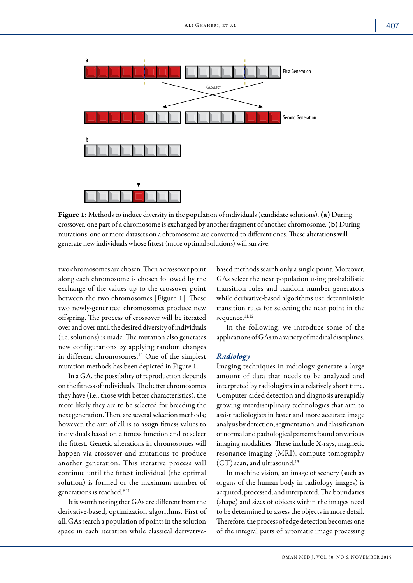

Figure 1: Methods to induce diversity in the population of individuals (candidate solutions). (a) During crossover, one part of a chromosome is exchanged by another fragment of another chromosome. (b) During mutations, one or more datasets on a chromosome are converted to different ones. These alterations will generate new individuals whose fittest (more optimal solutions) will survive.

two chromosomes are chosen. Then a crossover point along each chromosome is chosen followed by the exchange of the values up to the crossover point between the two chromosomes [Figure 1]. These two newly-generated chromosomes produce new offspring. The process of crossover will be iterated over and over until the desired diversity of individuals (i.e. solutions) is made. The mutation also generates new configurations by applying random changes in different chromosomes.10 One of the simplest mutation methods has been depicted in Figure 1.

In a GA, the possibility of reproduction depends on the fitness of individuals. The better chromosomes they have (i.e., those with better characteristics), the more likely they are to be selected for breeding the next generation. There are several selection methods; however, the aim of all is to assign fitness values to individuals based on a fitness function and to select the fittest. Genetic alterations in chromosomes will happen via crossover and mutations to produce another generation. This iterative process will continue until the fittest individual (the optimal solution) is formed or the maximum number of generations is reached.<sup>9,11</sup>

It is worth noting that GAs are different from the derivative-based, optimization algorithms. First of all, GAs search a population of points in the solution space in each iteration while classical derivativebased methods search only a single point. Moreover, GAs select the next population using probabilistic transition rules and random number generators while derivative-based algorithms use deterministic transition rules for selecting the next point in the sequence.<sup>11,12</sup>

In the following, we introduce some of the applications of GAs in a variety of medical disciplines.

#### *Radiology*

Imaging techniques in radiology generate a large amount of data that needs to be analyzed and interpreted by radiologists in a relatively short time. Computer-aided detection and diagnosis are rapidly growing interdisciplinary technologies that aim to assist radiologists in faster and more accurate image analysis by detection, segmentation, and classification of normal and pathological patterns found on various imaging modalities. These include X-rays, magnetic resonance imaging (MRI), compute tomography (CT) scan, and ultrasound.13

In machine vision, an image of scenery (such as organs of the human body in radiology images) is acquired, processed, and interpreted. The boundaries (shape) and sizes of objects within the images need to be determined to assess the objects in more detail. Therefore, the process of edge detection becomes one of the integral parts of automatic image processing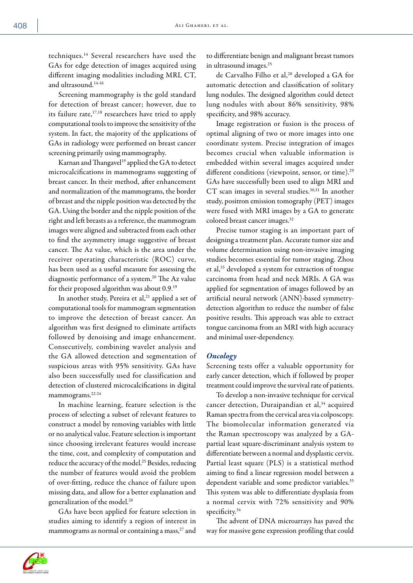techniques.14 Several researchers have used the GAs for edge detection of images acquired using different imaging modalities including MRI, CT, and ultrasound.14-16

Screening mammography is the gold standard for detection of breast cancer; however, due to its failure rate,<sup>17,18</sup> researchers have tried to apply computational tools to improve the sensitivity of the system. In fact, the majority of the applications of GAs in radiology were performed on breast cancer screening primarily using mammography.

Karnan and Thangavel<sup>19</sup> applied the GA to detect microcalcifications in mammograms suggesting of breast cancer. In their method, after enhancement and normalization of the mammograms, the border of breast and the nipple position was detected by the GA. Using the border and the nipple position of the right and left breasts as a reference, the mammogram images were aligned and subtracted from each other to find the asymmetry image suggestive of breast cancer. The Az value, which is the area under the receiver operating characteristic (ROC) curve, has been used as a useful measure for assessing the diagnostic performance of a system.<sup>20</sup> The Az value for their proposed algorithm was about 0.9.19

In another study, Pereira et al,<sup>21</sup> applied a set of computational tools for mammogram segmentation to improve the detection of breast cancer. An algorithm was first designed to eliminate artifacts followed by denoising and image enhancement. Consecutively, combining wavelet analysis and the GA allowed detection and segmentation of suspicious areas with 95% sensitivity. GAs have also been successfully used for classification and detection of clustered microcalcifications in digital mammograms.<sup>22-24</sup>

In machine learning, feature selection is the process of selecting a subset of relevant features to construct a model by removing variables with little or no analytical value. Feature selection is important since choosing irrelevant features would increase the time, cost, and complexity of computation and reduce the accuracy of the model.<sup>25</sup> Besides, reducing the number of features would avoid the problem of over-fitting, reduce the chance of failure upon missing data, and allow for a better explanation and generalization of the model.<sup>26</sup>

GAs have been applied for feature selection in studies aiming to identify a region of interest in mammograms as normal or containing a mass,<sup>27</sup> and

to differentiate benign and malignant breast tumors in ultrasound images.<sup>25</sup>

de Carvalho Filho et al,<sup>28</sup> developed a GA for automatic detection and classification of solitary lung nodules. The designed algorithm could detect lung nodules with about 86% sensitivity, 98% specificity, and 98% accuracy.

Image registration or fusion is the process of optimal aligning of two or more images into one coordinate system. Precise integration of images becomes crucial when valuable information is embedded within several images acquired under different conditions (viewpoint, sensor, or time).<sup>29</sup> GAs have successfully been used to align MRI and CT scan images in several studies.<sup>30,31</sup> In another study, positron emission tomography (PET) images were fused with MRI images by a GA to generate colored breast cancer images.32

Precise tumor staging is an important part of designing a treatment plan. Accurate tumor size and volume determination using non-invasive imaging studies becomes essential for tumor staging. Zhou et al,33 developed a system for extraction of tongue carcinoma from head and neck MRIs. A GA was applied for segmentation of images followed by an artificial neural network (ANN)-based symmetrydetection algorithm to reduce the number of false positive results. This approach was able to extract tongue carcinoma from an MRI with high accuracy and minimal user-dependency.

### *Oncology*

Screening tests offer a valuable opportunity for early cancer detection, which if followed by proper treatment could improve the survival rate of patients.

To develop a non-invasive technique for cervical cancer detection, Duraipandian et al,<sup>34</sup> acquired Raman spectra from the cervical area via colposcopy. The biomolecular information generated via the Raman spectroscopy was analyzed by a GApartial least square-discriminant analysis system to differentiate between a normal and dysplastic cervix. Partial least square (PLS) is a statistical method aiming to find a linear regression model between a dependent variable and some predictor variables.<sup>35</sup> This system was able to differentiate dysplasia from a normal cervix with 72% sensitivity and 90% specificity.<sup>34</sup>

The advent of DNA microarrays has paved the way for massive gene expression profiling that could

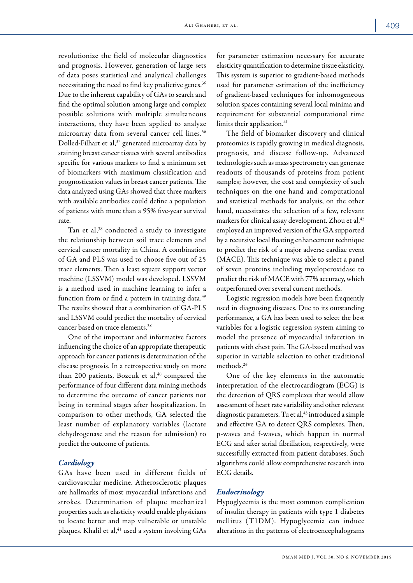revolutionize the field of molecular diagnostics and prognosis. However, generation of large sets of data poses statistical and analytical challenges necessitating the need to find key predictive genes.<sup>36</sup> Due to the inherent capability of GAs to search and find the optimal solution among large and complex possible solutions with multiple simultaneous interactions, they have been applied to analyze microarray data from several cancer cell lines.<sup>36</sup> Dolled-Filhart et al,<sup>37</sup> generated microarray data by staining breast cancer tissues with several antibodies specific for various markers to find a minimum set of biomarkers with maximum classification and prognostication values in breast cancer patients. The data analyzed using GAs showed that three markers with available antibodies could define a population of patients with more than a 95% five-year survival rate.

Tan et al,<sup>38</sup> conducted a study to investigate the relationship between soil trace elements and cervical cancer mortality in China. A combination of GA and PLS was used to choose five out of 25 trace elements. Then a least square support vector machine (LSSVM) model was developed. LSSVM is a method used in machine learning to infer a function from or find a pattern in training data.<sup>39</sup> The results showed that a combination of GA-PLS and LSSVM could predict the mortality of cervical cancer based on trace elements.<sup>38</sup>

One of the important and informative factors influencing the choice of an appropriate therapeutic approach for cancer patients is determination of the disease prognosis. In a retrospective study on more than 200 patients, Bozcuk et al, $40$  compared the performance of four different data mining methods to determine the outcome of cancer patients not being in terminal stages after hospitalization. In comparison to other methods, GA selected the least number of explanatory variables (lactate dehydrogenase and the reason for admission) to predict the outcome of patients.

# *Cardiology*

GAs have been used in different fields of cardiovascular medicine. Atherosclerotic plaques are hallmarks of most myocardial infarctions and strokes. Determination of plaque mechanical properties such as elasticity would enable physicians to locate better and map vulnerable or unstable plaques. Khalil et al,<sup>41</sup> used a system involving GAs

for parameter estimation necessary for accurate elasticity quantification to determine tissue elasticity. This system is superior to gradient-based methods used for parameter estimation of the inefficiency of gradient-based techniques for inhomogeneous solution spaces containing several local minima and requirement for substantial computational time limits their application.<sup>41</sup>

The field of biomarker discovery and clinical proteomics is rapidly growing in medical diagnosis, prognosis, and disease follow-up. Advanced technologies such as mass spectrometry can generate readouts of thousands of proteins from patient samples; however, the cost and complexity of such techniques on the one hand and computational and statistical methods for analysis, on the other hand, necessitates the selection of a few, relevant markers for clinical assay development. Zhou et al, $42$ employed an improved version of the GA supported by a recursive local floating enhancement technique to predict the risk of a major adverse cardiac event (MACE). This technique was able to select a panel of seven proteins including myeloperoxidase to predict the risk of MACE with 77% accuracy, which outperformed over several current methods.

Logistic regression models have been frequently used in diagnosing diseases. Due to its outstanding performance, a GA has been used to select the best variables for a logistic regression system aiming to model the presence of myocardial infarction in patients with chest pain. The GA-based method was superior in variable selection to other traditional methods.26

One of the key elements in the automatic interpretation of the electrocardiogram (ECG) is the detection of QRS complexes that would allow assessment of heart rate variability and other relevant diagnostic parameters. Tu et al,<sup>43</sup> introduced a simple and effective GA to detect QRS complexes. Then, p-waves and f-waves, which happen in normal ECG and after atrial fibrillation, respectively, were successfully extracted from patient databases. Such algorithms could allow comprehensive research into ECG details.

# *Endocrinology*

Hypoglycemia is the most common complication of insulin therapy in patients with type 1 diabetes mellitus (T1DM). Hypoglycemia can induce alterations in the patterns of electroencephalograms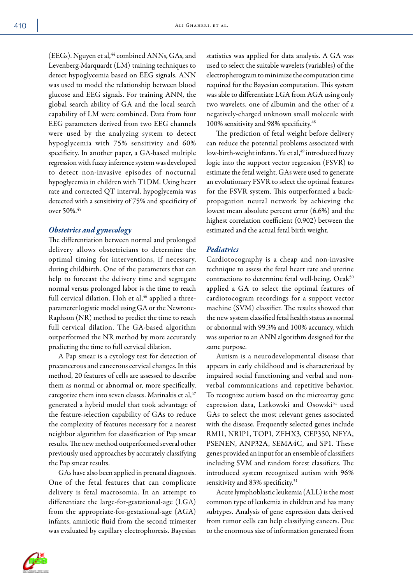(EEGs). Nguyen et al,<sup>44</sup> combined ANNs, GAs, and Levenberg-Marquardt (LM) training techniques to detect hypoglycemia based on EEG signals. ANN was used to model the relationship between blood glucose and EEG signals. For training ANN, the global search ability of GA and the local search capability of LM were combined. Data from four EEG parameters derived from two EEG channels were used by the analyzing system to detect hypoglycemia with 75% sensitivity and 60% specificity. In another paper, a GA-based multiple regression with fuzzy inference system was developed to detect non-invasive episodes of nocturnal hypoglycemia in children with T1DM. Using heart rate and corrected QT interval, hypoglycemia was detected with a sensitivity of 75% and specificity of over 50%.<sup>45</sup>

# *Obstetrics and gynecology*

The differentiation between normal and prolonged delivery allows obstetricians to determine the optimal timing for interventions, if necessary, during childbirth. One of the parameters that can help to forecast the delivery time and segregate normal versus prolonged labor is the time to reach full cervical dilation. Hoh et al, $46$  applied a threeparameter logistic model using GA or the Newtone-Raphson (NR) method to predict the time to reach full cervical dilation. The GA-based algorithm outperformed the NR method by more accurately predicting the time to full cervical dilation.

A Pap smear is a cytology test for detection of precancerous and cancerous cervical changes. In this method, 20 features of cells are assessed to describe them as normal or abnormal or, more specifically, categorize them into seven classes. Marinakis et al, <sup>47</sup> generated a hybrid model that took advantage of the feature-selection capability of GAs to reduce the complexity of features necessary for a nearest neighbor algorithm for classification of Pap smear results. The new method outperformed several other previously used approaches by accurately classifying the Pap smear results.

GAs have also been applied in prenatal diagnosis. One of the fetal features that can complicate delivery is fetal macrosomia. In an attempt to differentiate the large-for-gestational-age (LGA) from the appropriate-for-gestational-age (AGA) infants, amniotic fluid from the second trimester was evaluated by capillary electrophoresis. Bayesian

statistics was applied for data analysis. A GA was used to select the suitable wavelets (variables) of the electropherogram to minimize the computation time required for the Bayesian computation. This system was able to differentiate LGA from AGA using only two wavelets, one of albumin and the other of a negatively-charged unknown small molecule with 100% sensitivity and 98% specificity.<sup>48</sup>

The prediction of fetal weight before delivery can reduce the potential problems associated with low-birth-weight infants. Yu et al,<sup>49</sup> introduced fuzzy logic into the support vector regression (FSVR) to estimate the fetal weight. GAs were used to generate an evolutionary FSVR to select the optimal features for the FSVR system. This outperformed a backpropagation neural network by achieving the lowest mean absolute percent error (6.6%) and the highest correlation coefficient (0.902) between the estimated and the actual fetal birth weight.

# *Pediatrics*

Cardiotocography is a cheap and non-invasive technique to assess the fetal heart rate and uterine contractions to determine fetal well-being. Ocak<sup>50</sup> applied a GA to select the optimal features of cardiotocogram recordings for a support vector machine (SVM) classifier. The results showed that the new system classified fetal health status as normal or abnormal with 99.3% and 100% accuracy, which was superior to an ANN algorithm designed for the same purpose.

Autism is a neurodevelopmental disease that appears in early childhood and is characterized by impaired social functioning and verbal and nonverbal communications and repetitive behavior. To recognize autism based on the microarray gene expression data, Latkowski and Osowski<sup>51</sup> used GAs to select the most relevant genes associated with the disease. Frequently selected genes include RMI1, NRIP1, TOP1, ZFHX3, CEP350, NFYA, PSENEN, ANP32A, SEMA4C, and SP1. These genes provided an input for an ensemble of classifiers including SVM and random forest classifiers. The introduced system recognized autism with 96% sensitivity and 83% specificity.<sup>51</sup>

Acute lymphoblastic leukemia (ALL) is the most common type of leukemia in children and has many subtypes. Analysis of gene expression data derived from tumor cells can help classifying cancers. Due to the enormous size of information generated from

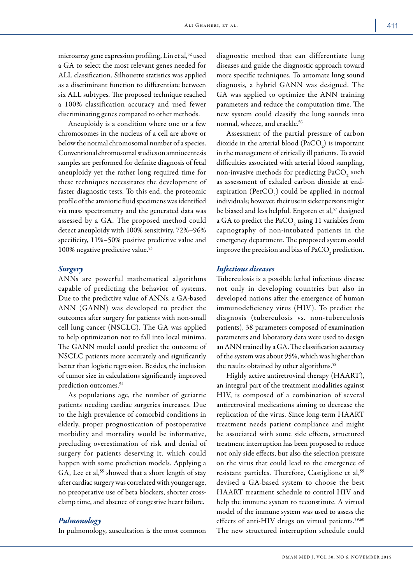microarray gene expression profiling, Lin et al,<sup>52</sup> used a GA to select the most relevant genes needed for ALL classification. Silhouette statistics was applied as a discriminant function to differentiate between six ALL subtypes. The proposed technique reached a 100% classification accuracy and used fewer discriminating genes compared to other methods.

Aneuploidy is a condition where one or a few chromosomes in the nucleus of a cell are above or below the normal chromosomal number of a species. Conventional chromosomal studies on amniocentesis samples are performed for definite diagnosis of fetal aneuploidy yet the rather long required time for these techniques necessitates the development of faster diagnostic tests. To this end, the proteomic profile of the amniotic fluid specimens was identified via mass spectrometry and the generated data was assessed by a GA. The proposed method could detect aneuploidy with 100% sensitivity, 72%–96% specificity, 11%–50% positive predictive value and 100% negative predictive value.<sup>53</sup>

## *Surgery*

ANNs are powerful mathematical algorithms capable of predicting the behavior of systems. Due to the predictive value of ANNs, a GA-based ANN (GANN) was developed to predict the outcomes after surgery for patients with non-small cell lung cancer (NSCLC). The GA was applied to help optimization not to fall into local minima. The GANN model could predict the outcome of NSCLC patients more accurately and significantly better than logistic regression. Besides, the inclusion of tumor size in calculations significantly improved prediction outcomes.<sup>54</sup>

As populations age, the number of geriatric patients needing cardiac surgeries increases. Due to the high prevalence of comorbid conditions in elderly, proper prognostication of postoperative morbidity and mortality would be informative, precluding overestimation of risk and denial of surgery for patients deserving it, which could happen with some prediction models. Applying a GA, Lee et al,<sup>55</sup> showed that a short length of stay after cardiac surgery was correlated with younger age, no preoperative use of beta blockers, shorter crossclamp time, and absence of congestive heart failure.

# *Pulmonology*

In pulmonology, auscultation is the most common

diagnostic method that can differentiate lung diseases and guide the diagnostic approach toward more specific techniques. To automate lung sound diagnosis, a hybrid GANN was designed. The GA was applied to optimize the ANN training parameters and reduce the computation time. The new system could classify the lung sounds into normal, wheeze, and crackle.<sup>56</sup>

Assessment of the partial pressure of carbon dioxide in the arterial blood  $(PaCO<sub>2</sub>)$  is important in the management of critically ill patients. To avoid difficulties associated with arterial blood sampling, non-invasive methods for predicting  $\mathrm{PaCO}_{2}^{\phantom{\dag}}$  such as assessment of exhaled carbon dioxide at endexpiration ( $PetCO<sub>2</sub>$ ) could be applied in normal individuals; however, their use in sicker persons might be biased and less helpful. Engoren et al,<sup>57</sup> designed a GA to predict the  $\text{PaCO}_2$  using 11 variables from capnography of non-intubated patients in the emergency department. The proposed system could improve the precision and bias of  $\mathrm{PaCO}_2$  prediction.

#### *Infectious diseases*

Tuberculosis is a possible lethal infectious disease not only in developing countries but also in developed nations after the emergence of human immunodeficiency virus (HIV). To predict the diagnosis (tuberculosis vs. non-tuberculosis patients), 38 parameters composed of examination parameters and laboratory data were used to design an ANN trained by a GA. The classification accuracy of the system was about 95%, which was higher than the results obtained by other algorithms.<sup>58</sup>

Highly active antiretroviral therapy (HAART), an integral part of the treatment modalities against HIV, is composed of a combination of several antiretroviral medications aiming to decrease the replication of the virus. Since long-term HAART treatment needs patient compliance and might be associated with some side effects, structured treatment interruption has been proposed to reduce not only side effects, but also the selection pressure on the virus that could lead to the emergence of resistant particles. Therefore, Castiglione et al,<sup>59</sup> devised a GA-based system to choose the best HAART treatment schedule to control HIV and help the immune system to reconstitute. A virtual model of the immune system was used to assess the effects of anti-HIV drugs on virtual patients.<sup>59,60</sup> The new structured interruption schedule could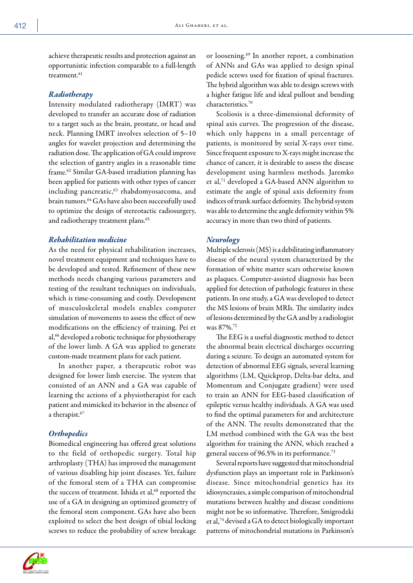achieve therapeutic results and protection against an opportunistic infection comparable to a full-length treatment.<sup>61</sup>

# *Radiotherapy*

Intensity modulated radiotherapy (IMRT) was developed to transfer an accurate dose of radiation to a target such as the brain, prostate, or head and neck. Planning IMRT involves selection of 5–10 angles for wavelet projection and determining the radiation dose. The application of GA could improve the selection of gantry angles in a reasonable time frame.62 Similar GA-based irradiation planning has been applied for patients with other types of cancer including pancreatic,<sup>63</sup> rhabdomyosarcoma, and brain tumors.64 GAs have also been successfully used to optimize the design of stereotactic radiosurgery, and radiotherapy treatment plans.<sup>65</sup>

# *Rehabilitation medicine*

As the need for physical rehabilitation increases, novel treatment equipment and techniques have to be developed and tested. Refinement of these new methods needs changing various parameters and testing of the resultant techniques on individuals, which is time-consuming and costly. Development of musculoskeletal models enables computer simulation of movements to assess the effect of new modifications on the efficiency of training. Pei et al,<sup>66</sup> developed a robotic technique for physiotherapy of the lower limb. A GA was applied to generate custom-made treatment plans for each patient.

In another paper, a therapeutic robot was designed for lower limb exercise. The system that consisted of an ANN and a GA was capable of learning the actions of a physiotherapist for each patient and mimicked its behavior in the absence of a therapist.<sup>67</sup>

# *Orthopedics*

Biomedical engineering has offered great solutions to the field of orthopedic surgery. Total hip arthroplasty (THA) has improved the management of various disabling hip joint diseases. Yet, failure of the femoral stem of a THA can compromise the success of treatment. Ishida et al,<sup>68</sup> reported the use of a GA in designing an optimized geometry of the femoral stem component. GAs have also been exploited to select the best design of tibial locking screws to reduce the probability of screw breakage

or loosening.69 In another report, a combination of ANNs and GAs was applied to design spinal pedicle screws used for fixation of spinal fractures. The hybrid algorithm was able to design screws with a higher fatigue life and ideal pullout and bending characteristics.70

Scoliosis is a three-dimensional deformity of spinal axis curves. The progression of the disease, which only happens in a small percentage of patients, is monitored by serial X-rays over time. Since frequent exposure to X-rays might increase the chance of cancer, it is desirable to assess the disease development using harmless methods. Jaremko et al,71 developed a GA-based ANN algorithm to estimate the angle of spinal axis deformity from indices of trunk surface deformity. The hybrid system was able to determine the angle deformity within 5% accuracy in more than two third of patients.

# *Neurology*

Multiple sclerosis (MS) is a debilitating inflammatory disease of the neural system characterized by the formation of white matter scars otherwise known as plaques. Computer-assisted diagnosis has been applied for detection of pathologic features in these patients. In one study, a GA was developed to detect the MS lesions of brain MRIs. The similarity index of lesions determined by the GA and by a radiologist was 87%.72

The EEG is a useful diagnostic method to detect the abnormal brain electrical discharges occurring during a seizure. To design an automated system for detection of abnormal EEG signals, several learning algorithms (LM, Quickprop, Delta-bar delta, and Momentum and Conjugate gradient) were used to train an ANN for EEG-based classification of epileptic versus healthy individuals. A GA was used to find the optimal parameters for and architecture of the ANN. The results demonstrated that the LM method combined with the GA was the best algorithm for training the ANN, which reached a general success of 96.5% in its performance.73

Several reports have suggested that mitochondrial dysfunction plays an important role in Parkinson's disease. Since mitochondrial genetics has its idiosyncrasies, a simple comparison of mitochondrial mutations between healthy and disease conditions might not be so informative. Therefore, Smigrodzki et al,74 devised a GA to detect biologically important patterns of mitochondrial mutations in Parkinson's

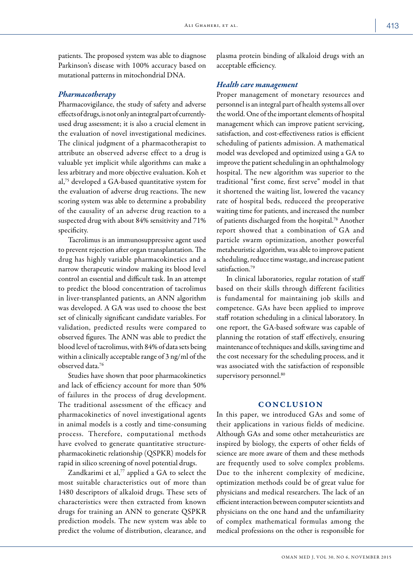patients. The proposed system was able to diagnose Parkinson's disease with 100% accuracy based on mutational patterns in mitochondrial DNA.

# *Pharmacotherapy*

Pharmacovigilance, the study of safety and adverse effects of drugs, is not only an integral part of currentlyused drug assessment; it is also a crucial element in the evaluation of novel investigational medicines. The clinical judgment of a pharmacotherapist to attribute an observed adverse effect to a drug is valuable yet implicit while algorithms can make a less arbitrary and more objective evaluation. Koh et al,75 developed a GA-based quantitative system for the evaluation of adverse drug reactions. The new scoring system was able to determine a probability of the causality of an adverse drug reaction to a suspected drug with about 84% sensitivity and 71% specificity.

Tacrolimus is an immunosuppressive agent used to prevent rejection after organ transplantation. The drug has highly variable pharmacokinetics and a narrow therapeutic window making its blood level control an essential and difficult task. In an attempt to predict the blood concentration of tacrolimus in liver-transplanted patients, an ANN algorithm was developed. A GA was used to choose the best set of clinically significant candidate variables. For validation, predicted results were compared to observed figures. The ANN was able to predict the blood level of tacrolimus, with 84% of data sets being within a clinically acceptable range of 3 ng/ml of the observed data.76

Studies have shown that poor pharmacokinetics and lack of efficiency account for more than 50% of failures in the process of drug development. The traditional assessment of the efficacy and pharmacokinetics of novel investigational agents in animal models is a costly and time-consuming process. Therefore, computational methods have evolved to generate quantitative structurepharmacokinetic relationship (QSPKR) models for rapid in silico screening of novel potential drugs.

Zandkarimi et al,<sup>77</sup> applied a GA to select the most suitable characteristics out of more than 1480 descriptors of alkaloid drugs. These sets of characteristics were then extracted from known drugs for training an ANN to generate QSPKR prediction models. The new system was able to predict the volume of distribution, clearance, and plasma protein binding of alkaloid drugs with an acceptable efficiency.

# *Health care management*

Proper management of monetary resources and personnel is an integral part of health systems all over the world. One of the important elements of hospital management which can improve patient servicing, satisfaction, and cost-effectiveness ratios is efficient scheduling of patients admission. A mathematical model was developed and optimized using a GA to improve the patient scheduling in an ophthalmology hospital. The new algorithm was superior to the traditional "first come, first serve" model in that it shortened the waiting list, lowered the vacancy rate of hospital beds, reduceed the preoperative waiting time for patients, and increased the number of patients discharged from the hospital.78 Another report showed that a combination of GA and particle swarm optimization, another powerful metaheuristic algorithm, was able to improve patient scheduling, reduce time wastage, and increase patient satisfaction.<sup>79</sup>

In clinical laboratories, regular rotation of staff based on their skills through different facilities is fundamental for maintaining job skills and competence. GAs have been applied to improve staff rotation scheduling in a clinical laboratory. In one report, the GA-based software was capable of planning the rotation of staff effectively, ensuring maintenance of techniques and skills, saving time and the cost necessary for the scheduling process, and it was associated with the satisfaction of responsible supervisory personnel.<sup>80</sup>

# **CONCLUSION**

In this paper, we introduced GAs and some of their applications in various fields of medicine. Although GAs and some other metaheuristics are inspired by biology, the experts of other fields of science are more aware of them and these methods are frequently used to solve complex problems. Due to the inherent complexity of medicine, optimization methods could be of great value for physicians and medical researchers. The lack of an efficient interaction between computer scientists and physicians on the one hand and the unfamiliarity of complex mathematical formulas among the medical professions on the other is responsible for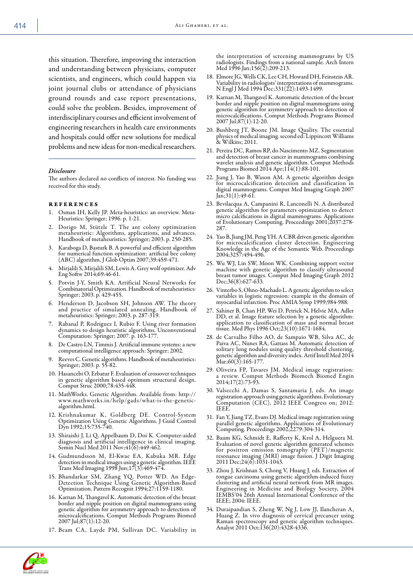this situation. Therefore, improving the interaction and understanding between physicians, computer scientists, and engineers, which could happen via joint journal clubs or attendance of physicians ground rounds and case report presentations, could solve the problem. Besides, improvement of interdisciplinary courses and efficient involvement of engineering researchers in health care environments and hospitals could offer new solutions for medical problems and new ideas for non-medical researchers.

#### *Disclosure*

The authors declared no conflicts of interest. No funding was received for this study.

#### references

- 1. Osman IH, Kelly JP. Meta-heuristics: an overview. Meta-Heuristics: Springer; 1996. p. 1-21.
- 2. Dorigo M, Stützle T. The ant colony optimization metaheuristic: Algorithms, applications, and advances. Handbook of metaheuristics: Springer; 2003. p. 250-285.
- 3. Karaboga D, Basturk B. A powerful and efficient algorithm for numerical function optimization: artificial bee colony (ABC) algorithm. J Glob Optim 2007;39:459-471.
- 4. Mirjalili S, Mirjalili SM, Lewis A. Grey wolf optimizer. Adv Eng Softw 2014;69:46-61.
- Potvin J-Y, Smith KA. Artificial Neural Networks for Combinatorial Optimization. Handbook of metaheuristics: Springer; 2003. p. 429-455.
- 6. Henderson D, Jacobson SH, Johnson AW. The theory and practice of simulated annealing. Handbook of metaheuristics: Springer; 2003. p. 287-319.
- 7. Rabanal P, Rodríguez I, Rubio F. Using river formation dynamics to design heuristic algorithms. Unconventional Computation: Springer; 2007. p. 163-177.
- 8. De Castro LN, Timmis J. Artificial immune systems: a new computational intelligence approach: Springer; 2002.
- 9. Reeves C. Genetic algorithms. Handbook of metaheuristics: Springer; 2003. p. 55-82.
- 10. Hasancebi O, Erbatur F. Evaluation of crossover techniques in genetic algorithm based optimum structural design. Comput Struc 2000;78:435-448.
- 11. MathWorks. Genetic Algorithm. Available from: http:// www.mathworks.in/help/gads/what-is-the-geneticalgorithm.html.
- 12. Krishnakumar K, Goldberg DE. Control-System Optimization Using Genetic Algorithms. J Guid Control Dyn 1992;15:735-740.
- 13. Shiraishi J, Li Q, Appelbaum D, Doi K. Computer-aided diagnosis and artificial intelligence in clinical imaging. Semin Nucl Med 2011 Nov;41(6):449-462.
- 14. Gudmundsson M, El-Kwae EA, Kabuka MR. Edge detection in medical images using a genetic algorithm. IEEE Trans Med Imaging 1998 Jun;17(3):469-474.
- 15. Bhandarkar SM, Zhang YQ, Potter WD. An Edge-Detection Technique Using Genetic Algorithm-Based Optimization. Pattern Recognit 1994;27:1159-1180.
- 16. Karnan M, Thangavel K. Automatic detection of the breast border and nipple position on digital mammograms using genetic algorithm for asymmetry approach to detection of microcalcifications. Comput Methods Programs Biomed 2007 Jul;87(1):12-20.
- 17. Beam CA, Layde PM, Sullivan DC. Variability in

the interpretation of screening mammograms by US radiologists. Findings from a national sample. Arch Intern Med 1996 Jan;156(2):209-213.

- 18. Elmore JG, Wells CK, Lee CH, Howard DH, Feinstein AR. Variability in radiologists' interpretations of mammograms. N Engl J Med 1994 Dec;331(22):1493-1499.
- 19. Karnan M, Thangavel K. Automatic detection of the breast border and nipple position on digital mammograms using genetic algorithm for asymmetry approach to detection of microcalcifications. Comput Methods Programs Biomed 2007 Jul;87(1):12-20.
- 20. Bushberg JT, Boone JM. Image Quality. The essential physics of medical imaging. second ed: Lippincott Williams & Wilkins; 2011.
- 21. Pereira DC, Ramos RP, do Nascimento MZ. Segmentation and detection of breast cancer in mammograms combining wavelet analysis and genetic algorithm. Comput Methods Programs Biomed 2014 Apr;114(1):88-101.
- 22. Jiang J, Yao B, Wason AM. A genetic algorithm design for microcalcification detection and classification in digital mammograms. Comput Med Imaging Graph 2007 Jan;31(1):49-61.
- 23. Bevilacqua A, Campanini R, Lanconelli N. A distributed genetic algorithm for parameters optimization to detect micro calcifications in digital mammograms. Applications of Evolutionary Computing. Proceedings 2001;2037:278- 287.
- 24. Yao B, Jiang JM, Peng YH. A CBR driven genetic algorithm for microcalcification cluster detection. Engineering Knowledge in the Age of the Semantic Web. Proceedings 2004;3257:494-496.
- 25. Wu WJ, Lin SW, Moon WK. Combining support vector machine with genetic algorithm to classify ultrasound breast tumor images. Comput Med Imaging Graph 2012 Dec;36(8):627-633.
- 26. Vinterbo S, Ohno-Machado L. A genetic algorithm to select variables in logistic regression: example in the domain of myocardial infarction. Proc AMIA Symp 1999;984-988.
- 27. Sahiner B, Chan HP, Wei D, Petrick N, Helvie MA, Adler DD, et al. Image feature selection by a genetic algorithm: application to classification of mass and normal breast tissue. Med Phys 1996 Oct;23(10):1671-1684.
- 28. de Carvalho Filho AO, de Sampaio WB, Silva AC, de Paiva AC, Nunes RA, Gattass M. Automatic detection of solitary lung nodules using quality threshold clustering, genetic algorithm and diversity index. Artif Intell Med 2014 Mar;60(3):165-177.
- 29. Oliveira FP, Tavares JM. Medical image registration: a review. Comput Methods Biomech Biomed Engin 2014;17(2):73-93.
- 30. Valsecchi A, Damas S, Santamaria J, eds. An image registration approach using genetic algorithms. Evolutionary Computation (CEC), 2012 IEEE Congress on; 2012: IEEE.
- 31. Fan Y, Jiang TZ, Evans DJ. Medical image registration using parallel genetic algorithms. Applications of Evolutionary Computing. Proceedings 2002;2279:304-314.
- 32. Baum KG, Schmidt E, Rafferty K, Krol A, Helguera M. Evaluation of novel genetic algorithm generated schemes for positron emission tomography (PET)/magnetic resonance imaging (MRI) image fusion. J Digit Imaging 2011 Dec;24(6):1031-1043.
- 33. Zhou J, Krishnan S, Chong V, Huang J, eds. Extraction of tongue carcinoma using genetic algorithm-induced fuzzy clustering and artificial neural network from MR images. Engineering in Medicine and Biology Society, 2004 IEMBS'04 26th Annual International Conference of the IEEE; 2004: IEEE.
- 34. Duraipandian S, Zheng W, Ng J, Low JJ, Ilancheran A, Huang Z. In vivo diagnosis of cervical precancer using Raman spectroscopy and genetic algorithm techniques. Analyst 2011 Oct;136(20):4328-4336.

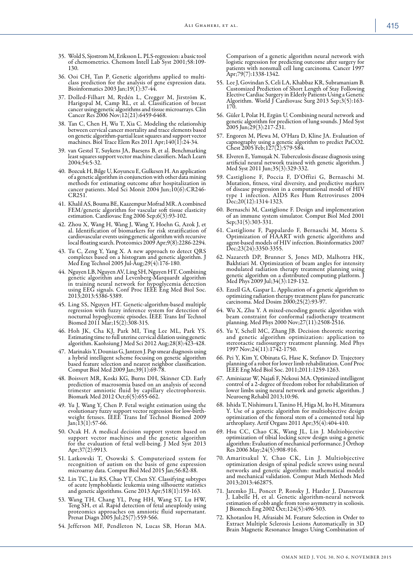- 35. Wold S, Sjostrom M, Eriksson L. PLS-regression: a basic tool of chemometrics. Chemom Intell Lab Syst 2001;58:109- 130.
- 36. Ooi CH, Tan P. Genetic algorithms applied to multiclass prediction for the analysis of gene expression data. Bioinformatics 2003 Jan;19(1):37-44.
- 37. Dolled-Filhart M, Rydén L, Cregger M, Jirström K, Harigopal M, Camp RL, et al. Classification of breast cancer using genetic algorithms and tissue microarrays. Clin Cancer Res 2006 Nov;12(21):6459-6468.
- 38. Tan C, Chen H, Wu T, Xia C. Modeling the relationship between cervical cancer mortality and trace elements based on genetic algorithm-partial least squares and support vector machines. Biol Trace Elem Res 2011 Apr;140(1):24-34.
- 39. van Gestel T, Suykens JA, Baesens B, et al. Benchmarking least squares support vector machine classifiers. Mach Learn 2004;54:5-32.
- 40. Bozcuk H, Bilge U, Koyuncu E, Gulkesen H. An application of a genetic algorithm in conjunction with other data mining methods for estimating outcome after hospitalization in cancer patients. Med Sci Monit 2004 Jun;10(6):CR246- CR251.
- 41. Khalil AS, Bouma BE, Kaazempur Mofrad MR. A combined FEM/genetic algorithm for vascular soft tissue elasticity estimation. Cardiovasc Eng 2006 Sep;6(3):93-102.
- 42. Zhou X, Wang H, Wang J, Wang Y, Hoehn G, Azok J, et al. Identification of biomarkers for risk stratification of cardiovascular events using genetic algorithm with recursive local floating search. Proteomics 2009 Apr;9(8):2286-2294.
- 43. Tu C, Zeng Y, Yang X. A new approach to detect QRS complexes based on a histogram and genetic algorithm. J Med Eng Technol 2005 Jul-Aug;29(4):176-180.
- 44. Nguyen LB, Nguyen AV, Ling SH, Nguyen HT. Combining genetic algorithm and Levenberg-Marquardt algorithm in training neural network for hypoglycemia detection using EEG signals. Conf Proc IEEE Eng Med Biol Soc. 2013;2013:5386-5389.
- 45. Ling SS, Nguyen HT. Genetic-algorithm-based multiple regression with fuzzy inference system for detection of nocturnal hypoglycemic episodes. IEEE Trans Inf Technol Biomed 2011 Mar;15(2):308-315.
- 46. Hoh JK, Cha KJ, Park MI, Ting Lee ML, Park YS. Estimating time to full uterine cervical dilation using genetic algorithm. Kaohsiung J Med Sci 2012 Aug;28(8):423-428.
- 47. Marinakis Y, Dounias G, Jantzen J. Pap smear diagnosis using a hybrid intelligent scheme focusing on genetic algorithm based feature selection and nearest neighbor classification. Comput Biol Med 2009 Jan;39(1):69-78.
- 48. Boisvert MR, Koski KG, Burns DH, Skinner CD. Early prediction of macrosomia based on an analysis of second trimester amniotic fluid by capillary electrophoresis. Biomark Med 2012 Oct;6(5):655-662.
- 49. Yu J, Wang Y, Chen P. Fetal weight estimation using the evolutionary fuzzy support vector regression for low-birthweight fetuses. IEEE Trans Inf Technol Biomed 2009 Jan;13(1):57-66.
- 50. Ocak H. A medical decision support system based on support vector machines and the genetic algorithm for the evaluation of fetal well-being. J Med Syst 2013 Apr;37(2):9913.
- 51. Latkowski T, Osowski S. Computerized system for recognition of autism on the basis of gene expression microarray data. Comput Biol Med 2015 Jan;56:82-88.
- 52. Lin TC, Liu RS, Chao YT, Chen SY. Classifying subtypes of acute lymphoblastic leukemia using silhouette statistics and genetic algorithms. Gene 2013 Apr;518(1):159-163.
- 53. Wang TH, Chang YL, Peng HH, Wang ST, Lu HW, Teng SH, et al. Rapid detection of fetal aneuploidy using proteomics approaches on amniotic fluid supernatant. Prenat Diagn 2005 Jul;25(7):559-566.
- 54. Jefferson MF, Pendleton N, Lucas SB, Horan MA.

Comparison of a genetic algorithm neural network with logistic regression for predicting outcome after surgery for patients with nonsmall cell lung carcinoma. Cancer 1997 Apr;79(7):1338-1342.

- 55. Lee J, Govindan S, Celi LA, Khabbaz KR, Subramaniam B. Customized Prediction of Short Length of Stay Following Elective Cardiac Surgery in Elderly Patients Using a Genetic Algorithm. World J Cardiovasc Surg 2013 Sep;3(5):163-170.
- 56. Güler I, Polat H, Ergün U. Combining neural network and genetic algorithm for prediction of lung sounds. J Med Syst 2005 Jun;29(3):217-231.
- 57. Engoren M, Plewa M, O'Hara D, Kline JA. Evaluation of capnography using a genetic algorithm to predict PaCO2. Chest 2005 Feb;127(2):579-584.
- 58. Elveren E, Yumuşak N. Tuberculosis disease diagnosis using artificial neural network trained with genetic algorithm. J Med Syst 2011 Jun;35(3):329-332.
- 59. Castiglione F, Poccia F, D'Offizi G, Bernaschi M. Mutation, fitness, viral diversity, and predictive markers of disease progression in a computational model of HIV type 1 infection. AIDS Res Hum Retroviruses 2004 Dec;20(12):1314-1323.
- 60. Bernaschi M, Castiglione F. Design and implementation of an immune system simulator. Comput Biol Med 2001 Sep;31(5):303-331.
- 61. Castiglione F, Pappalardo F, Bernaschi M, Motta S. Optimization of HAART with genetic algorithms and agent-based models of HIV infection. Bioinformatics 2007 Dec; 23(24): 3350-3355.
- 62. Nazareth DP, Brunner S, Jones MD, Malhotra HK, Bakhtiari M. Optimization of beam angles for intensity modulated radiation therapy treatment planning using genetic algorithm on a distributed computing platform. J Med Phys 2009 Jul;34(3):129-132.
- 63. Ezzell GA, Gaspar L. Application of a genetic algorithm to optimizing radiation therapy treatment plans for pancreatic carcinoma. Med Dosim 2000;25(2):93-97.
- 64. Wu X, Zhu Y. A mixed-encoding genetic algorithm with beam constraint for conformal radiotherapy treatment planning. Med Phys 2000 Nov;27(11):2508-2516.
- 65. Yu Y, Schell MC, Zhang JB. Decision theoretic steering and genetic algorithm optimization: application to stereotactic radiosurgery treatment planning. Med Phys 1997 Nov;24(11):1742-1750.
- 66. Pei Y, Kim Y, Obinata G, Hase K, Stefanov D. Trajectory planning of a robot for lower limb rehabilitation. Conf Proc IEEE Eng Med Biol Soc. 2011;2011:1259-1263.
- 67. Aminiazar W, Najafi F, Nekoui MA. Optimized intelligent control of a 2-degree of freedom robot for rehabilitation of lower limbs using neural network and genetic algorithm. J Neuroeng Rehabil 2013;10:96.
- 68. Ishida T, Nishimura I, Tanino H, Higa M, Ito H, Mitamura Y. Use of a genetic algorithm for multiobjective design optimization of the femoral stem of a cemented total hip arthroplasty. Artif Organs 2011 Apr;35(4):404-410.
- 69. Hsu CC, Chao CK, Wang JL, Lin J. Multiobjective optimization of tibial locking screw design using a genetic algorithm: Evaluation of mechanical performance. J Orthop Res 2006 May;24(5):908-916.
- 70. Amaritsakul Y, Chao CK, Lin J. Multiobjective optimization design of spinal pedicle screws using neural networks and genetic algorithm: mathematical models and mechanical validation. Comput Math Methods Med 2013;2013:462875.
- 71. Jaremko JL, Poncet P, Ronsky J, Harder J, Dansereau J, Labelle H, et al. Genetic algorithm-neural network estimation of cobb angle from torso asymmetry in scoliosis. J Biomech Eng 2002 Oct;124(5):496-503.
- 72. Khotanlou H, Afrasiabi M. Feature Selection in Order to Extract Multiple Sclerosis Lesions Automatically in 3D Brain Magnetic Resonance Images Using Combination of